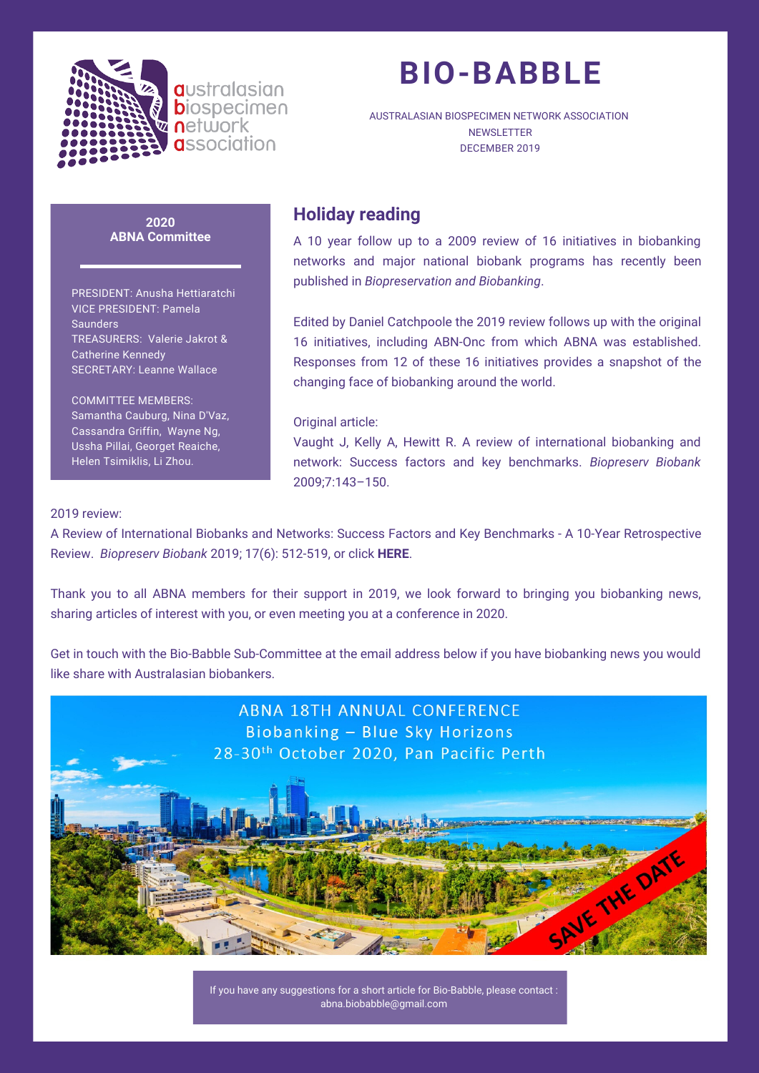

**a**ustralasian **b**iospecimen network **a**ssociation

# **BIO-BABBLE**

AUSTRALASIAN BIOSPECIMEN NETWORK ASSOCIATION **NEWSLETTER** DECEMBER 2019

**2020 ABNA Committee**

PRESIDENT: Anusha Hettiaratchi VICE PRESIDENT: Pamela **Saunders** TREASURERS: Valerie Jakrot & Catherine Kennedy SECRETARY: Leanne Wallace

COMMITTEE MEMBERS: Samantha Cauburg, Nina D'Vaz, Cassandra Griffin, Wayne Ng, Ussha Pillai, Georget Reaiche, Helen Tsimiklis, Li Zhou.

### **Holiday reading**

A 10 year follow up to a 2009 review of 16 initiatives in biobanking networks and major national biobank programs has recently been published in *Biopreservation and Biobanking*.

Edited by Daniel Catchpoole the 2019 review follows up with the original 16 initiatives, including ABN-Onc from which ABNA was established. Responses from 12 of these 16 initiatives provides a snapshot of the changing face of biobanking around the world.

#### Original article:

Vaught J, Kelly A, Hewitt R. A review of international biobanking and network: Success factors and key benchmarks. *Biopreserv Biobank* 2009;7:143–150.

#### 2019 review:

A Review of International Biobanks and Networks: Success Factors and Key Benchmarks - A 10-Year Retrospective Review. *Biopreserv Biobank* 2019; 17(6): 512-519, or click **HERE**.

Thank you to all ABNA members for their support in 2019, we look forward to bringing you biobanking news, sharing articles of interest with you, or even meeting you at a conference in 2020.

Get in touch with the Bio-Babble [Sub-Committee](https://abna.org.au/wp-content/uploads/2019/12/A-Review-of-International-Biobanks-and-Networks-Success-Factors-and-Key-Benchmarks%E2%80%94A-10-Year-Retrospective-Review.pdf) at the email address below if you have biobanking news you would like share with Australasian biobankers.



If you have any suggestions for a short article for Bio-Babble, please contact : abna.biobabble@gmail.com